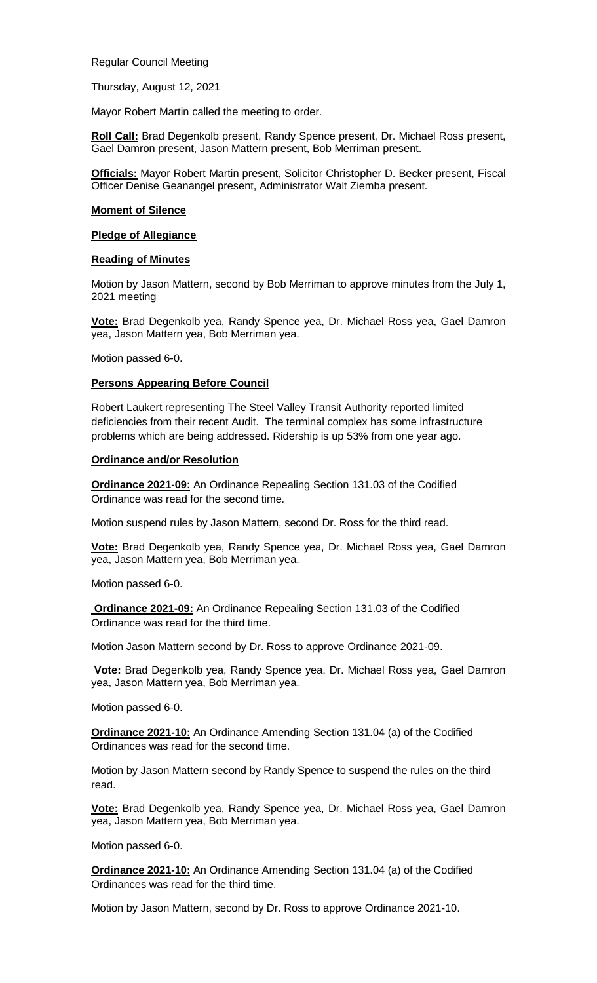Regular Council Meeting

Thursday, August 12, 2021

Mayor Robert Martin called the meeting to order.

**Roll Call:** Brad Degenkolb present, Randy Spence present, Dr. Michael Ross present, Gael Damron present, Jason Mattern present, Bob Merriman present.

**Officials:** Mayor Robert Martin present, Solicitor Christopher D. Becker present, Fiscal Officer Denise Geanangel present, Administrator Walt Ziemba present.

### **Moment of Silence**

### **Pledge of Allegiance**

### **Reading of Minutes**

Motion by Jason Mattern, second by Bob Merriman to approve minutes from the July 1, 2021 meeting

**Vote:** Brad Degenkolb yea, Randy Spence yea, Dr. Michael Ross yea, Gael Damron yea, Jason Mattern yea, Bob Merriman yea.

Motion passed 6-0.

### **Persons Appearing Before Council**

Robert Laukert representing The Steel Valley Transit Authority reported limited deficiencies from their recent Audit. The terminal complex has some infrastructure problems which are being addressed. Ridership is up 53% from one year ago.

### **Ordinance and/or Resolution**

**Ordinance 2021-09:** An Ordinance Repealing Section 131.03 of the Codified Ordinance was read for the second time.

Motion suspend rules by Jason Mattern, second Dr. Ross for the third read.

**Vote:** Brad Degenkolb yea, Randy Spence yea, Dr. Michael Ross yea, Gael Damron yea, Jason Mattern yea, Bob Merriman yea.

Motion passed 6-0.

**Ordinance 2021-09:** An Ordinance Repealing Section 131.03 of the Codified Ordinance was read for the third time.

Motion Jason Mattern second by Dr. Ross to approve Ordinance 2021-09.

**Vote:** Brad Degenkolb yea, Randy Spence yea, Dr. Michael Ross yea, Gael Damron yea, Jason Mattern yea, Bob Merriman yea.

Motion passed 6-0.

**Ordinance 2021-10:** An Ordinance Amending Section 131.04 (a) of the Codified Ordinances was read for the second time.

Motion by Jason Mattern second by Randy Spence to suspend the rules on the third read.

**Vote:** Brad Degenkolb yea, Randy Spence yea, Dr. Michael Ross yea, Gael Damron yea, Jason Mattern yea, Bob Merriman yea.

Motion passed 6-0.

**Ordinance 2021-10:** An Ordinance Amending Section 131.04 (a) of the Codified Ordinances was read for the third time.

Motion by Jason Mattern, second by Dr. Ross to approve Ordinance 2021-10.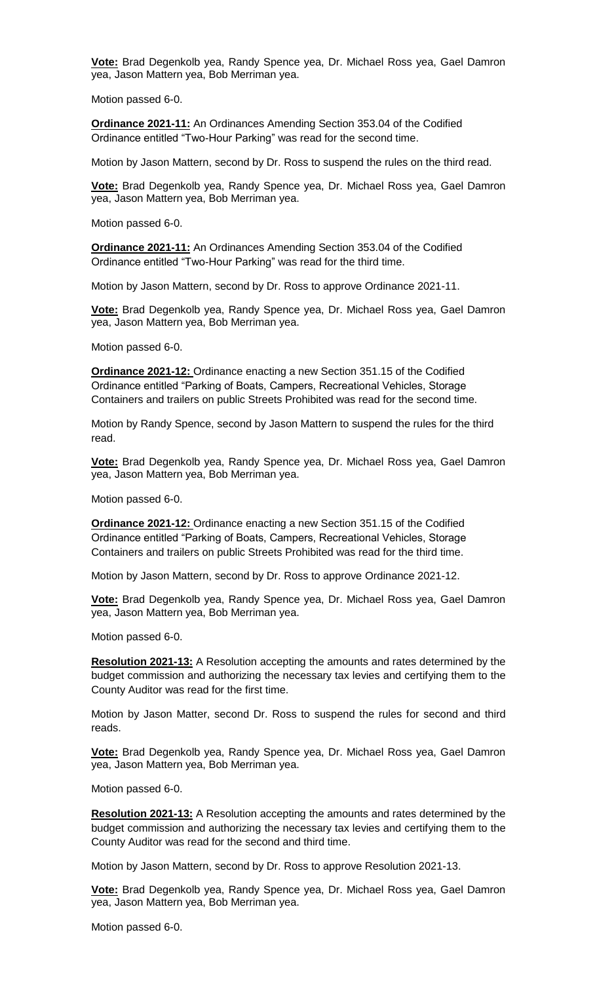**Vote:** Brad Degenkolb yea, Randy Spence yea, Dr. Michael Ross yea, Gael Damron yea, Jason Mattern yea, Bob Merriman yea.

Motion passed 6-0.

**Ordinance 2021-11:** An Ordinances Amending Section 353.04 of the Codified Ordinance entitled "Two-Hour Parking" was read for the second time.

Motion by Jason Mattern, second by Dr. Ross to suspend the rules on the third read.

**Vote:** Brad Degenkolb yea, Randy Spence yea, Dr. Michael Ross yea, Gael Damron yea, Jason Mattern yea, Bob Merriman yea.

Motion passed 6-0.

**Ordinance 2021-11:** An Ordinances Amending Section 353.04 of the Codified Ordinance entitled "Two-Hour Parking" was read for the third time.

Motion by Jason Mattern, second by Dr. Ross to approve Ordinance 2021-11.

**Vote:** Brad Degenkolb yea, Randy Spence yea, Dr. Michael Ross yea, Gael Damron yea, Jason Mattern yea, Bob Merriman yea.

Motion passed 6-0.

**Ordinance 2021-12:** Ordinance enacting a new Section 351.15 of the Codified Ordinance entitled "Parking of Boats, Campers, Recreational Vehicles, Storage Containers and trailers on public Streets Prohibited was read for the second time.

Motion by Randy Spence, second by Jason Mattern to suspend the rules for the third read.

**Vote:** Brad Degenkolb yea, Randy Spence yea, Dr. Michael Ross yea, Gael Damron yea, Jason Mattern yea, Bob Merriman yea.

Motion passed 6-0.

**Ordinance 2021-12:** Ordinance enacting a new Section 351.15 of the Codified Ordinance entitled "Parking of Boats, Campers, Recreational Vehicles, Storage Containers and trailers on public Streets Prohibited was read for the third time.

Motion by Jason Mattern, second by Dr. Ross to approve Ordinance 2021-12.

**Vote:** Brad Degenkolb yea, Randy Spence yea, Dr. Michael Ross yea, Gael Damron yea, Jason Mattern yea, Bob Merriman yea.

Motion passed 6-0.

**Resolution 2021-13:** A Resolution accepting the amounts and rates determined by the budget commission and authorizing the necessary tax levies and certifying them to the County Auditor was read for the first time.

Motion by Jason Matter, second Dr. Ross to suspend the rules for second and third reads.

**Vote:** Brad Degenkolb yea, Randy Spence yea, Dr. Michael Ross yea, Gael Damron yea, Jason Mattern yea, Bob Merriman yea.

Motion passed 6-0.

**Resolution 2021-13:** A Resolution accepting the amounts and rates determined by the budget commission and authorizing the necessary tax levies and certifying them to the County Auditor was read for the second and third time.

Motion by Jason Mattern, second by Dr. Ross to approve Resolution 2021-13.

**Vote:** Brad Degenkolb yea, Randy Spence yea, Dr. Michael Ross yea, Gael Damron yea, Jason Mattern yea, Bob Merriman yea.

Motion passed 6-0.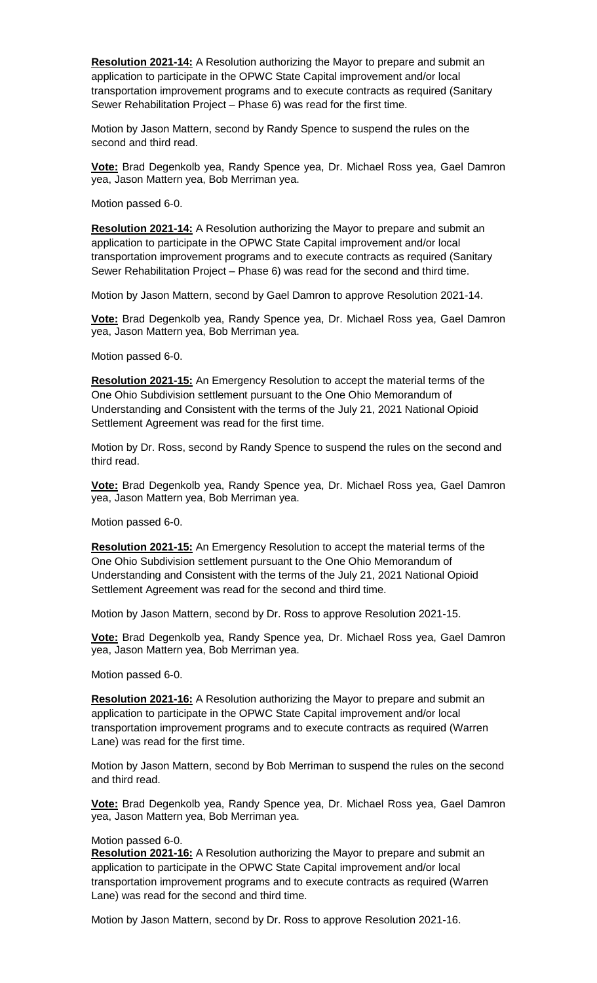**Resolution 2021-14:** A Resolution authorizing the Mayor to prepare and submit an application to participate in the OPWC State Capital improvement and/or local transportation improvement programs and to execute contracts as required (Sanitary Sewer Rehabilitation Project – Phase 6) was read for the first time.

Motion by Jason Mattern, second by Randy Spence to suspend the rules on the second and third read.

**Vote:** Brad Degenkolb yea, Randy Spence yea, Dr. Michael Ross yea, Gael Damron yea, Jason Mattern yea, Bob Merriman yea.

Motion passed 6-0.

**Resolution 2021-14:** A Resolution authorizing the Mayor to prepare and submit an application to participate in the OPWC State Capital improvement and/or local transportation improvement programs and to execute contracts as required (Sanitary Sewer Rehabilitation Project – Phase 6) was read for the second and third time.

Motion by Jason Mattern, second by Gael Damron to approve Resolution 2021-14.

**Vote:** Brad Degenkolb yea, Randy Spence yea, Dr. Michael Ross yea, Gael Damron yea, Jason Mattern yea, Bob Merriman yea.

Motion passed 6-0.

**Resolution 2021-15:** An Emergency Resolution to accept the material terms of the One Ohio Subdivision settlement pursuant to the One Ohio Memorandum of Understanding and Consistent with the terms of the July 21, 2021 National Opioid Settlement Agreement was read for the first time.

Motion by Dr. Ross, second by Randy Spence to suspend the rules on the second and third read.

**Vote:** Brad Degenkolb yea, Randy Spence yea, Dr. Michael Ross yea, Gael Damron yea, Jason Mattern yea, Bob Merriman yea.

Motion passed 6-0.

**Resolution 2021-15:** An Emergency Resolution to accept the material terms of the One Ohio Subdivision settlement pursuant to the One Ohio Memorandum of Understanding and Consistent with the terms of the July 21, 2021 National Opioid Settlement Agreement was read for the second and third time.

Motion by Jason Mattern, second by Dr. Ross to approve Resolution 2021-15.

**Vote:** Brad Degenkolb yea, Randy Spence yea, Dr. Michael Ross yea, Gael Damron yea, Jason Mattern yea, Bob Merriman yea.

Motion passed 6-0.

**Resolution 2021-16:** A Resolution authorizing the Mayor to prepare and submit an application to participate in the OPWC State Capital improvement and/or local transportation improvement programs and to execute contracts as required (Warren Lane) was read for the first time.

Motion by Jason Mattern, second by Bob Merriman to suspend the rules on the second and third read.

**Vote:** Brad Degenkolb yea, Randy Spence yea, Dr. Michael Ross yea, Gael Damron yea, Jason Mattern yea, Bob Merriman yea.

## Motion passed 6-0.

**Resolution 2021-16:** A Resolution authorizing the Mayor to prepare and submit an application to participate in the OPWC State Capital improvement and/or local transportation improvement programs and to execute contracts as required (Warren Lane) was read for the second and third time.

Motion by Jason Mattern, second by Dr. Ross to approve Resolution 2021-16.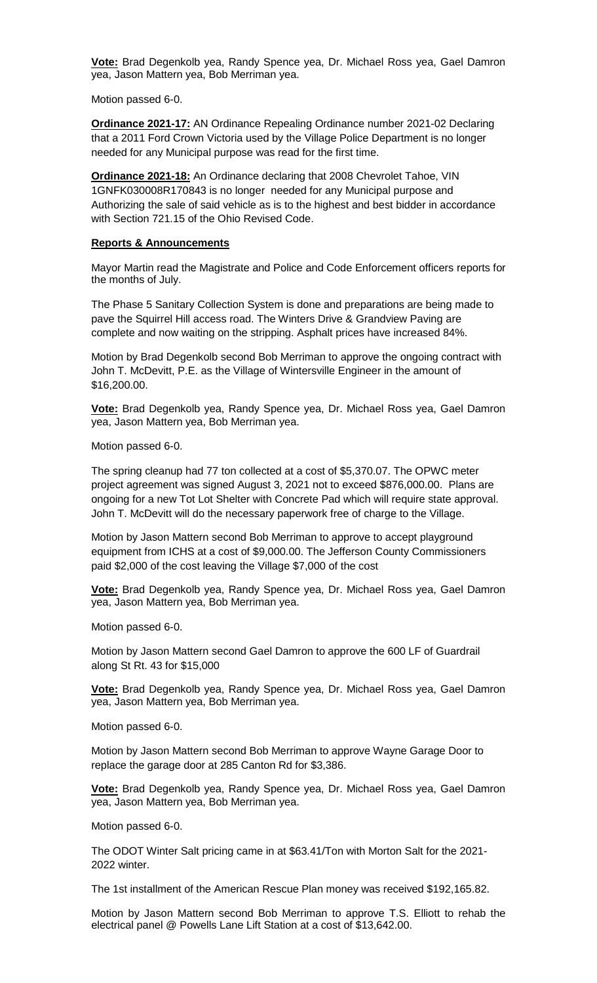**Vote:** Brad Degenkolb yea, Randy Spence yea, Dr. Michael Ross yea, Gael Damron yea, Jason Mattern yea, Bob Merriman yea.

Motion passed 6-0.

**Ordinance 2021-17:** AN Ordinance Repealing Ordinance number 2021-02 Declaring that a 2011 Ford Crown Victoria used by the Village Police Department is no longer needed for any Municipal purpose was read for the first time.

**Ordinance 2021-18:** An Ordinance declaring that 2008 Chevrolet Tahoe, VIN 1GNFK030008R170843 is no longer needed for any Municipal purpose and Authorizing the sale of said vehicle as is to the highest and best bidder in accordance with Section 721.15 of the Ohio Revised Code.

# **Reports & Announcements**

Mayor Martin read the Magistrate and Police and Code Enforcement officers reports for the months of July.

The Phase 5 Sanitary Collection System is done and preparations are being made to pave the Squirrel Hill access road. The Winters Drive & Grandview Paving are complete and now waiting on the stripping. Asphalt prices have increased 84%.

Motion by Brad Degenkolb second Bob Merriman to approve the ongoing contract with John T. McDevitt, P.E. as the Village of Wintersville Engineer in the amount of \$16,200.00.

**Vote:** Brad Degenkolb yea, Randy Spence yea, Dr. Michael Ross yea, Gael Damron yea, Jason Mattern yea, Bob Merriman yea.

Motion passed 6-0.

The spring cleanup had 77 ton collected at a cost of \$5,370.07. The OPWC meter project agreement was signed August 3, 2021 not to exceed \$876,000.00. Plans are ongoing for a new Tot Lot Shelter with Concrete Pad which will require state approval. John T. McDevitt will do the necessary paperwork free of charge to the Village.

Motion by Jason Mattern second Bob Merriman to approve to accept playground equipment from ICHS at a cost of \$9,000.00. The Jefferson County Commissioners paid \$2,000 of the cost leaving the Village \$7,000 of the cost

**Vote:** Brad Degenkolb yea, Randy Spence yea, Dr. Michael Ross yea, Gael Damron yea, Jason Mattern yea, Bob Merriman yea.

Motion passed 6-0.

Motion by Jason Mattern second Gael Damron to approve the 600 LF of Guardrail along St Rt. 43 for \$15,000

**Vote:** Brad Degenkolb yea, Randy Spence yea, Dr. Michael Ross yea, Gael Damron yea, Jason Mattern yea, Bob Merriman yea.

Motion passed 6-0.

Motion by Jason Mattern second Bob Merriman to approve Wayne Garage Door to replace the garage door at 285 Canton Rd for \$3,386.

**Vote:** Brad Degenkolb yea, Randy Spence yea, Dr. Michael Ross yea, Gael Damron yea, Jason Mattern yea, Bob Merriman yea.

Motion passed 6-0.

The ODOT Winter Salt pricing came in at \$63.41/Ton with Morton Salt for the 2021- 2022 winter.

The 1st installment of the American Rescue Plan money was received \$192,165.82.

Motion by Jason Mattern second Bob Merriman to approve T.S. Elliott to rehab the electrical panel @ Powells Lane Lift Station at a cost of \$13,642.00.